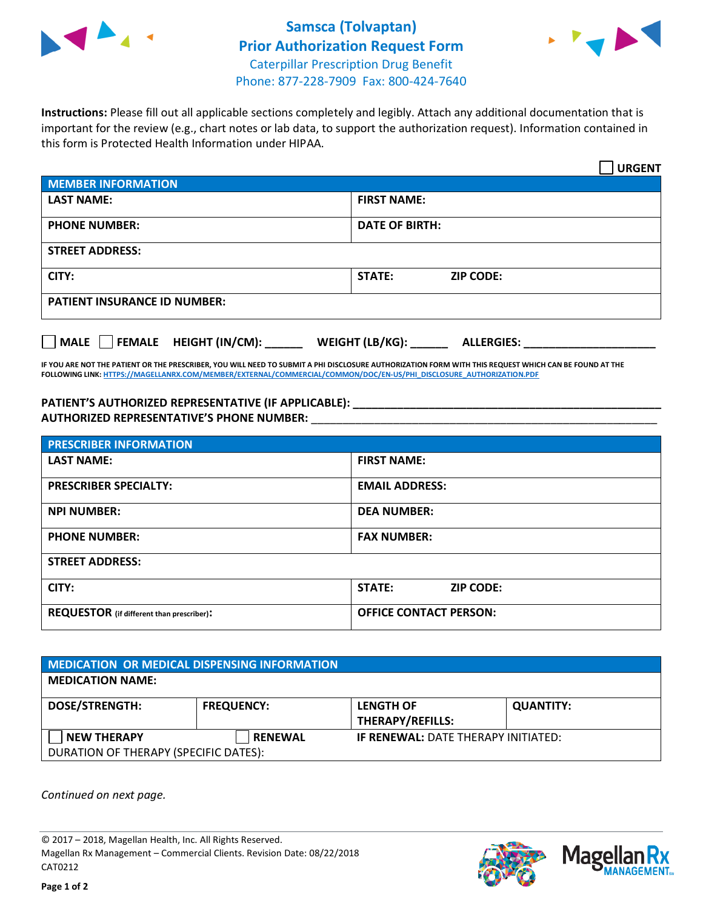



**Instructions:** Please fill out all applicable sections completely and legibly. Attach any additional documentation that is important for the review (e.g., chart notes or lab data, to support the authorization request). Information contained in this form is Protected Health Information under HIPAA.

|                                                              | <b>URGENT</b>                        |  |
|--------------------------------------------------------------|--------------------------------------|--|
| <b>MEMBER INFORMATION</b>                                    |                                      |  |
| <b>LAST NAME:</b>                                            | <b>FIRST NAME:</b>                   |  |
| <b>PHONE NUMBER:</b>                                         | <b>DATE OF BIRTH:</b>                |  |
| <b>STREET ADDRESS:</b>                                       |                                      |  |
| CITY:                                                        | <b>ZIP CODE:</b><br>STATE:           |  |
| <b>PATIENT INSURANCE ID NUMBER:</b>                          |                                      |  |
| FEMALE HEIGHT (IN/CM):<br>$\blacksquare$ MALE $\blacksquare$ | WEIGHT (LB/KG):<br><b>ALLERGIES:</b> |  |

**IF YOU ARE NOT THE PATIENT OR THE PRESCRIBER, YOU WILL NEED TO SUBMIT A PHI DISCLOSURE AUTHORIZATION FORM WITH THIS REQUEST WHICH CAN BE FOUND AT THE FOLLOWING LINK[: HTTPS://MAGELLANRX.COM/MEMBER/EXTERNAL/COMMERCIAL/COMMON/DOC/EN-US/PHI\\_DISCLOSURE\\_AUTHORIZATION.PDF](https://magellanrx.com/member/external/commercial/common/doc/en-us/PHI_Disclosure_Authorization.pdf)**

**PATIENT'S AUTHORIZED REPRESENTATIVE (IF APPLICABLE): \_\_\_\_\_\_\_\_\_\_\_\_\_\_\_\_\_\_\_\_\_\_\_\_\_\_\_\_\_\_\_\_\_\_\_\_\_\_\_\_\_\_\_\_\_\_\_\_\_ AUTHORIZED REPRESENTATIVE'S PHONE NUMBER:** \_\_\_\_\_\_\_\_\_\_\_\_\_\_\_\_\_\_\_\_\_\_\_\_\_\_\_\_\_\_\_\_\_\_\_\_\_\_\_\_\_\_\_\_\_\_\_\_\_\_\_\_\_\_\_

| <b>PRESCRIBER INFORMATION</b>             |                               |  |  |  |
|-------------------------------------------|-------------------------------|--|--|--|
| <b>LAST NAME:</b>                         | <b>FIRST NAME:</b>            |  |  |  |
| <b>PRESCRIBER SPECIALTY:</b>              | <b>EMAIL ADDRESS:</b>         |  |  |  |
| <b>NPI NUMBER:</b>                        | <b>DEA NUMBER:</b>            |  |  |  |
| <b>PHONE NUMBER:</b>                      | <b>FAX NUMBER:</b>            |  |  |  |
| <b>STREET ADDRESS:</b>                    |                               |  |  |  |
| CITY:                                     | STATE:<br><b>ZIP CODE:</b>    |  |  |  |
| REQUESTOR (if different than prescriber): | <b>OFFICE CONTACT PERSON:</b> |  |  |  |

| <b>MEDICATION OR MEDICAL DISPENSING INFORMATION</b> |                   |                                            |                  |  |  |
|-----------------------------------------------------|-------------------|--------------------------------------------|------------------|--|--|
| <b>MEDICATION NAME:</b>                             |                   |                                            |                  |  |  |
| <b>DOSE/STRENGTH:</b>                               | <b>FREQUENCY:</b> | <b>LENGTH OF</b>                           | <b>QUANTITY:</b> |  |  |
|                                                     |                   | <b>THERAPY/REFILLS:</b>                    |                  |  |  |
| <b>NEW THERAPY</b>                                  | <b>RENEWAL</b>    | <b>IF RENEWAL: DATE THERAPY INITIATED:</b> |                  |  |  |
| DURATION OF THERAPY (SPECIFIC DATES):               |                   |                                            |                  |  |  |

*Continued on next page.*

© 2017 – 2018, Magellan Health, Inc. All Rights Reserved. Magellan Rx Management – Commercial Clients. Revision Date: 08/22/2018 CAT0212